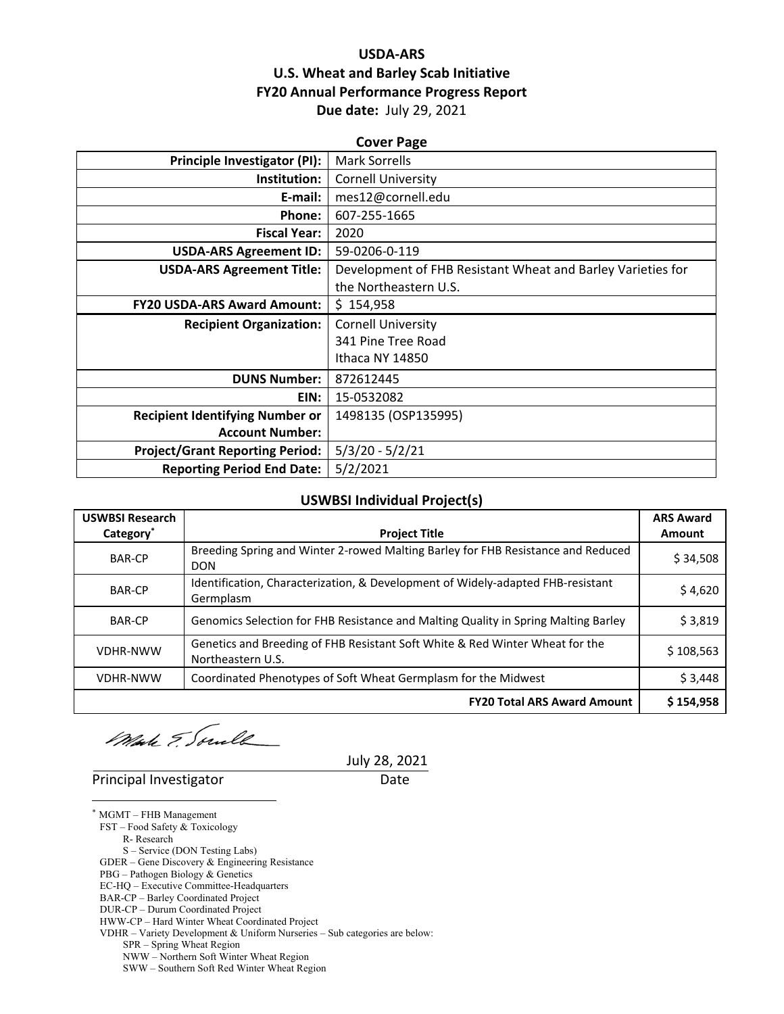### **USDA‐ARS U.S. Wheat and Barley Scab Initiative FY20 Annual Performance Progress Report Due date:** July 29, 2021

| <b>Cover Page</b>                      |                                                             |  |  |  |
|----------------------------------------|-------------------------------------------------------------|--|--|--|
| Principle Investigator (PI):           | Mark Sorrells                                               |  |  |  |
| Institution:                           | <b>Cornell University</b>                                   |  |  |  |
| E-mail:                                | mes12@cornell.edu                                           |  |  |  |
| Phone:                                 | 607-255-1665                                                |  |  |  |
| <b>Fiscal Year:</b>                    | 2020                                                        |  |  |  |
| <b>USDA-ARS Agreement ID:</b>          | 59-0206-0-119                                               |  |  |  |
| <b>USDA-ARS Agreement Title:</b>       | Development of FHB Resistant Wheat and Barley Varieties for |  |  |  |
|                                        | the Northeastern U.S.                                       |  |  |  |
| <b>FY20 USDA-ARS Award Amount:</b>     | \$154,958                                                   |  |  |  |
| <b>Recipient Organization:</b>         | <b>Cornell University</b>                                   |  |  |  |
|                                        | 341 Pine Tree Road                                          |  |  |  |
|                                        | Ithaca NY 14850                                             |  |  |  |
| <b>DUNS Number:</b>                    | 872612445                                                   |  |  |  |
| EIN:                                   | 15-0532082                                                  |  |  |  |
| <b>Recipient Identifying Number or</b> | 1498135 (OSP135995)                                         |  |  |  |
| <b>Account Number:</b>                 |                                                             |  |  |  |
| <b>Project/Grant Reporting Period:</b> | $5/3/20 - 5/2/21$                                           |  |  |  |
| <b>Reporting Period End Date:</b>      | 5/2/2021                                                    |  |  |  |

#### **USWBSI Individual Project(s)**

| <b>USWBSI Research</b> |                                                                                                   | <b>ARS Award</b> |
|------------------------|---------------------------------------------------------------------------------------------------|------------------|
| Category <sup>*</sup>  | <b>Project Title</b>                                                                              | Amount           |
| <b>BAR-CP</b>          | Breeding Spring and Winter 2-rowed Malting Barley for FHB Resistance and Reduced<br><b>DON</b>    | \$34,508         |
| <b>BAR-CP</b>          | Identification, Characterization, & Development of Widely-adapted FHB-resistant<br>Germplasm      | \$4,620          |
| <b>BAR-CP</b>          | Genomics Selection for FHB Resistance and Malting Quality in Spring Malting Barley                | \$3,819          |
| <b>VDHR-NWW</b>        | Genetics and Breeding of FHB Resistant Soft White & Red Winter Wheat for the<br>Northeastern U.S. | \$108,563        |
| <b>VDHR-NWW</b>        | Coordinated Phenotypes of Soft Wheat Germplasm for the Midwest                                    | \$3,448          |
|                        | <b>FY20 Total ARS Award Amount</b>                                                                | \$154,958        |

Male & Soule

# July 28, 2021

Principal Investigator **Date** 

 $\overline{a}$ \* MGMT – FHB Management

FST – Food Safety & Toxicology

R- Research

S – Service (DON Testing Labs)

GDER – Gene Discovery & Engineering Resistance PBG – Pathogen Biology & Genetics

EC-HQ – Executive Committee-Headquarters

BAR-CP – Barley Coordinated Project

DUR-CP – Durum Coordinated Project

HWW-CP – Hard Winter Wheat Coordinated Project

VDHR – Variety Development & Uniform Nurseries – Sub categories are below:

SPR – Spring Wheat Region

NWW – Northern Soft Winter Wheat Region

SWW – Southern Soft Red Winter Wheat Region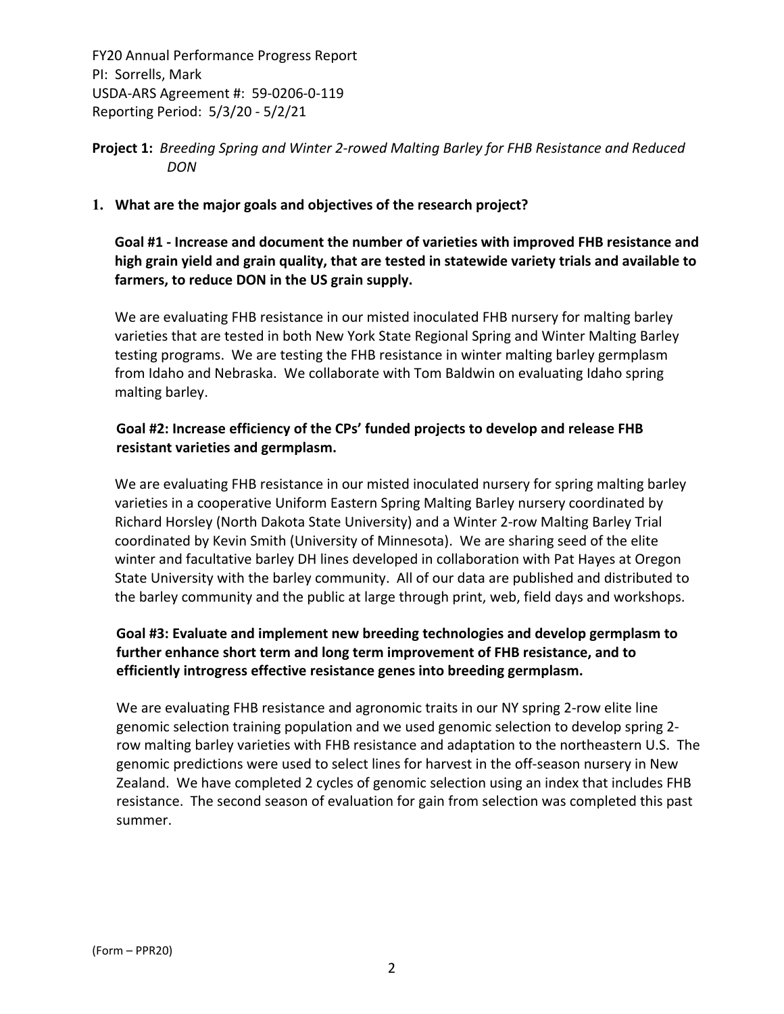### **Project 1:** *Breeding Spring and Winter 2‐rowed Malting Barley for FHB Resistance and Reduced DON*

#### **1. What are the major goals and objectives of the research project?**

**Goal #1 ‐ Increase and document the number of varieties with improved FHB resistance and high grain yield and grain quality, that are tested in statewide variety trials and available to farmers, to reduce DON in the US grain supply.** 

We are evaluating FHB resistance in our misted inoculated FHB nursery for malting barley varieties that are tested in both New York State Regional Spring and Winter Malting Barley testing programs. We are testing the FHB resistance in winter malting barley germplasm from Idaho and Nebraska. We collaborate with Tom Baldwin on evaluating Idaho spring malting barley.

### **Goal #2: Increase efficiency of the CPs' funded projects to develop and release FHB resistant varieties and germplasm.**

We are evaluating FHB resistance in our misted inoculated nursery for spring malting barley varieties in a cooperative Uniform Eastern Spring Malting Barley nursery coordinated by Richard Horsley (North Dakota State University) and a Winter 2‐row Malting Barley Trial coordinated by Kevin Smith (University of Minnesota). We are sharing seed of the elite winter and facultative barley DH lines developed in collaboration with Pat Hayes at Oregon State University with the barley community. All of our data are published and distributed to the barley community and the public at large through print, web, field days and workshops.

### **Goal #3: Evaluate and implement new breeding technologies and develop germplasm to further enhance short term and long term improvement of FHB resistance, and to efficiently introgress effective resistance genes into breeding germplasm.**

We are evaluating FHB resistance and agronomic traits in our NY spring 2-row elite line genomic selection training population and we used genomic selection to develop spring 2‐ row malting barley varieties with FHB resistance and adaptation to the northeastern U.S. The genomic predictions were used to select lines for harvest in the off‐season nursery in New Zealand. We have completed 2 cycles of genomic selection using an index that includes FHB resistance. The second season of evaluation for gain from selection was completed this past summer.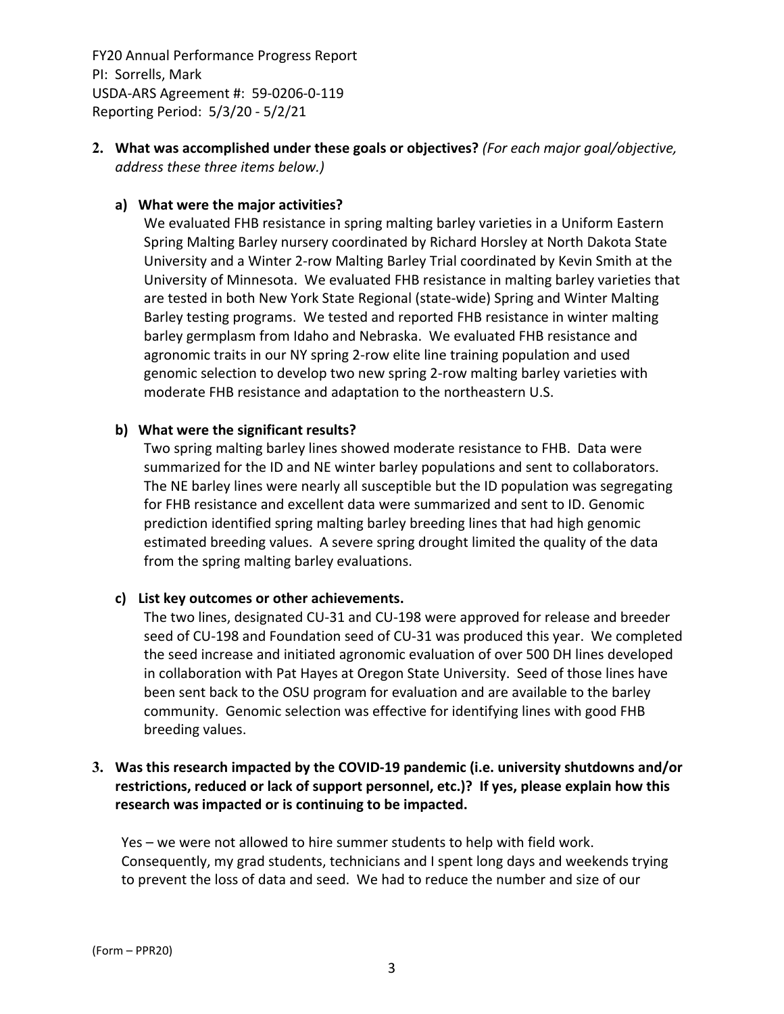**2. What was accomplished under these goals or objectives?** *(For each major goal/objective, address these three items below.)*

#### **a) What were the major activities?**

We evaluated FHB resistance in spring malting barley varieties in a Uniform Eastern Spring Malting Barley nursery coordinated by Richard Horsley at North Dakota State University and a Winter 2‐row Malting Barley Trial coordinated by Kevin Smith at the University of Minnesota. We evaluated FHB resistance in malting barley varieties that are tested in both New York State Regional (state‐wide) Spring and Winter Malting Barley testing programs. We tested and reported FHB resistance in winter malting barley germplasm from Idaho and Nebraska. We evaluated FHB resistance and agronomic traits in our NY spring 2‐row elite line training population and used genomic selection to develop two new spring 2‐row malting barley varieties with moderate FHB resistance and adaptation to the northeastern U.S.

#### **b) What were the significant results?**

Two spring malting barley lines showed moderate resistance to FHB. Data were summarized for the ID and NE winter barley populations and sent to collaborators. The NE barley lines were nearly all susceptible but the ID population was segregating for FHB resistance and excellent data were summarized and sent to ID. Genomic prediction identified spring malting barley breeding lines that had high genomic estimated breeding values. A severe spring drought limited the quality of the data from the spring malting barley evaluations.

### **c) List key outcomes or other achievements.**

The two lines, designated CU‐31 and CU‐198 were approved for release and breeder seed of CU-198 and Foundation seed of CU-31 was produced this year. We completed the seed increase and initiated agronomic evaluation of over 500 DH lines developed in collaboration with Pat Hayes at Oregon State University. Seed of those lines have been sent back to the OSU program for evaluation and are available to the barley community. Genomic selection was effective for identifying lines with good FHB breeding values.

### **3. Was this research impacted by the COVID‐19 pandemic (i.e. university shutdowns and/or restrictions, reduced or lack of support personnel, etc.)? If yes, please explain how this research was impacted or is continuing to be impacted.**

Yes – we were not allowed to hire summer students to help with field work. Consequently, my grad students, technicians and I spent long days and weekends trying to prevent the loss of data and seed. We had to reduce the number and size of our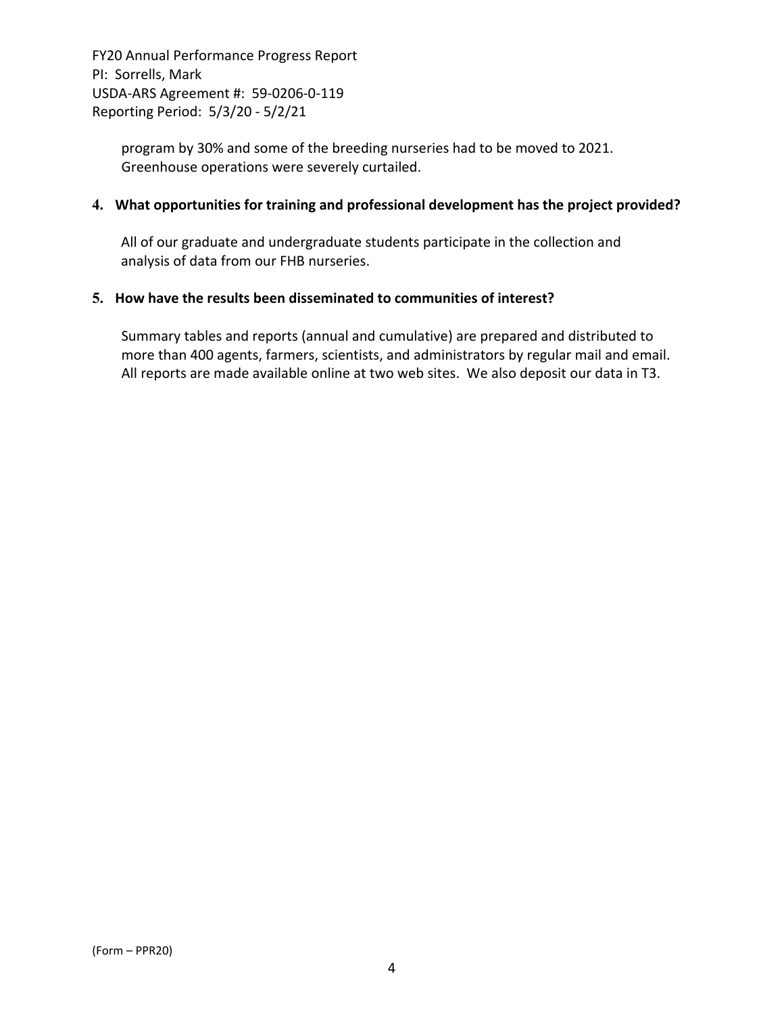> program by 30% and some of the breeding nurseries had to be moved to 2021. Greenhouse operations were severely curtailed.

#### **4. What opportunities for training and professional development has the project provided?**

All of our graduate and undergraduate students participate in the collection and analysis of data from our FHB nurseries.

#### **5. How have the results been disseminated to communities of interest?**

Summary tables and reports (annual and cumulative) are prepared and distributed to more than 400 agents, farmers, scientists, and administrators by regular mail and email. All reports are made available online at two web sites. We also deposit our data in T3.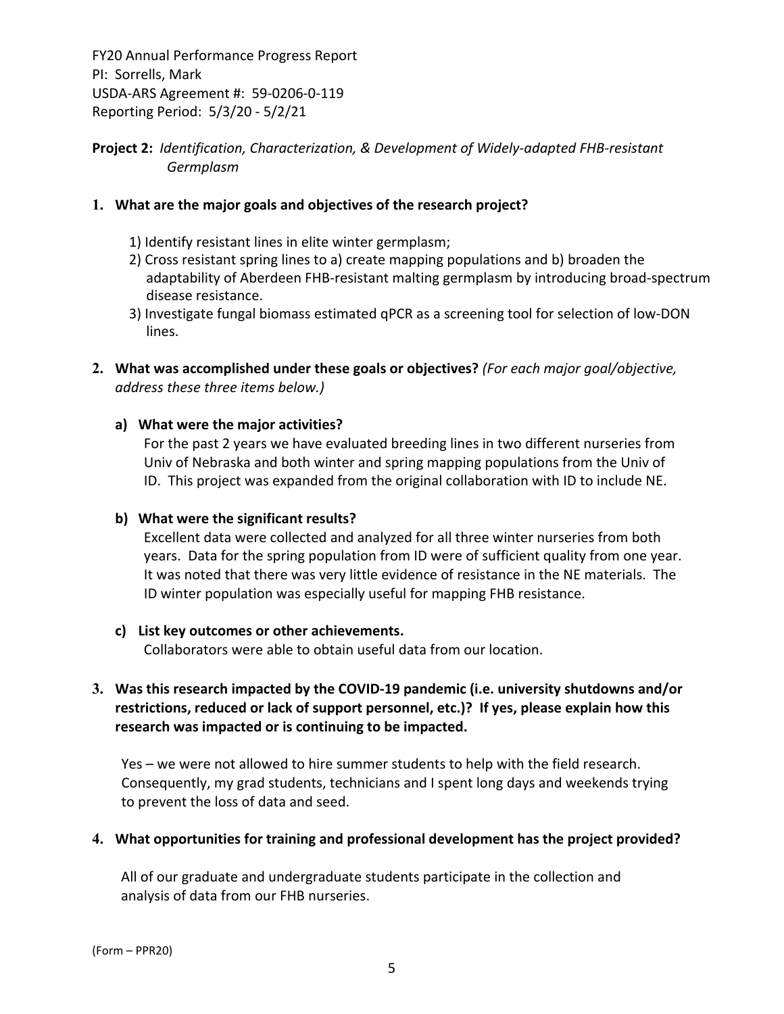### **Project 2:** *Identification, Characterization, & Development of Widely‐adapted FHB‐resistant Germplasm*

#### **1. What are the major goals and objectives of the research project?**

- 1) Identify resistant lines in elite winter germplasm;
- 2) Cross resistant spring lines to a) create mapping populations and b) broaden the adaptability of Aberdeen FHB‐resistant malting germplasm by introducing broad‐spectrum disease resistance.
- 3) Investigate fungal biomass estimated qPCR as a screening tool for selection of low‐DON lines.
- **2. What was accomplished under these goals or objectives?** *(For each major goal/objective, address these three items below.)*

#### **a) What were the major activities?**

For the past 2 years we have evaluated breeding lines in two different nurseries from Univ of Nebraska and both winter and spring mapping populations from the Univ of ID. This project was expanded from the original collaboration with ID to include NE.

#### **b) What were the significant results?**

Excellent data were collected and analyzed for all three winter nurseries from both years. Data for the spring population from ID were of sufficient quality from one year. It was noted that there was very little evidence of resistance in the NE materials. The ID winter population was especially useful for mapping FHB resistance.

### **c) List key outcomes or other achievements.**

Collaborators were able to obtain useful data from our location.

### **3. Was this research impacted by the COVID‐19 pandemic (i.e. university shutdowns and/or restrictions, reduced or lack of support personnel, etc.)? If yes, please explain how this research was impacted or is continuing to be impacted.**

Yes – we were not allowed to hire summer students to help with the field research. Consequently, my grad students, technicians and I spent long days and weekends trying to prevent the loss of data and seed.

#### **4. What opportunities for training and professional development has the project provided?**

All of our graduate and undergraduate students participate in the collection and analysis of data from our FHB nurseries.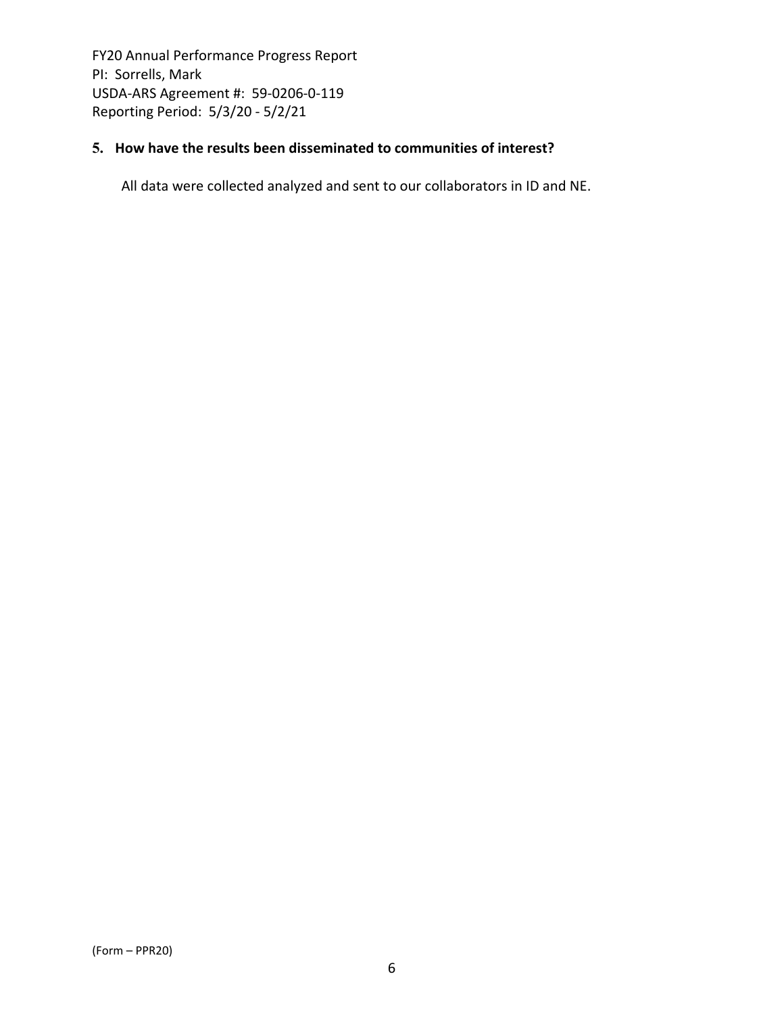### **5. How have the results been disseminated to communities of interest?**

All data were collected analyzed and sent to our collaborators in ID and NE.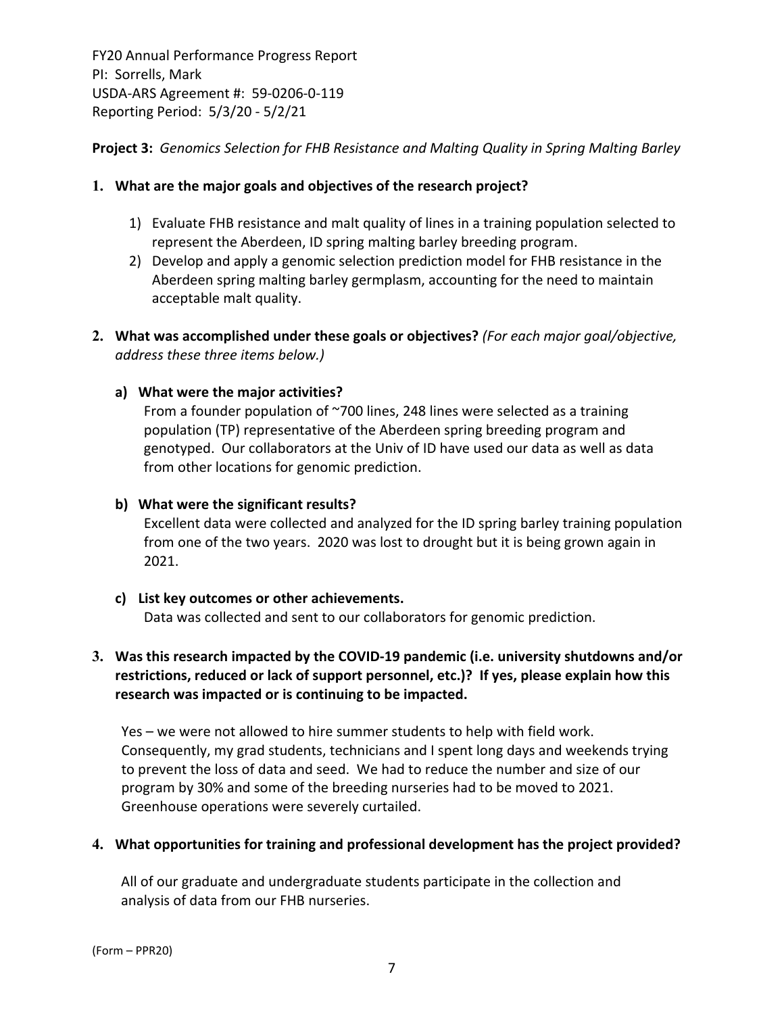**Project 3:** *Genomics Selection for FHB Resistance and Malting Quality in Spring Malting Barley*

#### **1. What are the major goals and objectives of the research project?**

- 1) Evaluate FHB resistance and malt quality of lines in a training population selected to represent the Aberdeen, ID spring malting barley breeding program.
- 2) Develop and apply a genomic selection prediction model for FHB resistance in the Aberdeen spring malting barley germplasm, accounting for the need to maintain acceptable malt quality.
- **2. What was accomplished under these goals or objectives?** *(For each major goal/objective, address these three items below.)*

#### **a) What were the major activities?**

From a founder population of ~700 lines, 248 lines were selected as a training population (TP) representative of the Aberdeen spring breeding program and genotyped. Our collaborators at the Univ of ID have used our data as well as data from other locations for genomic prediction.

#### **b) What were the significant results?**

Excellent data were collected and analyzed for the ID spring barley training population from one of the two years. 2020 was lost to drought but it is being grown again in 2021.

#### **c) List key outcomes or other achievements.**

Data was collected and sent to our collaborators for genomic prediction.

### **3. Was this research impacted by the COVID‐19 pandemic (i.e. university shutdowns and/or restrictions, reduced or lack of support personnel, etc.)? If yes, please explain how this research was impacted or is continuing to be impacted.**

Yes – we were not allowed to hire summer students to help with field work. Consequently, my grad students, technicians and I spent long days and weekends trying to prevent the loss of data and seed. We had to reduce the number and size of our program by 30% and some of the breeding nurseries had to be moved to 2021. Greenhouse operations were severely curtailed.

#### **4. What opportunities for training and professional development has the project provided?**

All of our graduate and undergraduate students participate in the collection and analysis of data from our FHB nurseries.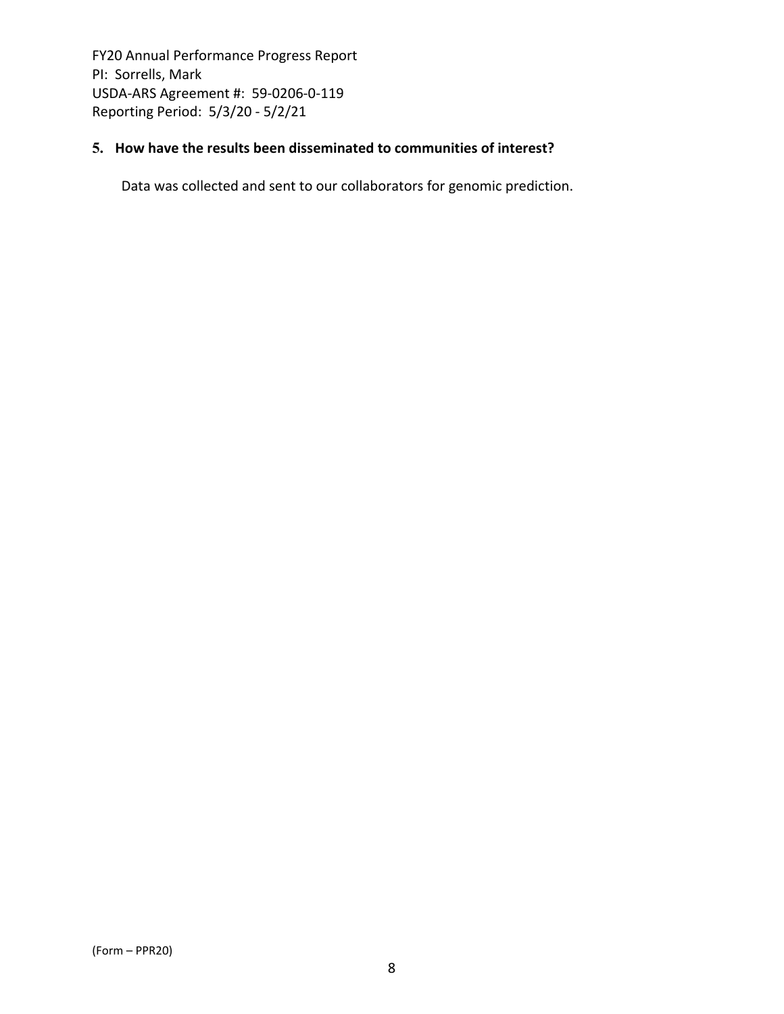### **5. How have the results been disseminated to communities of interest?**

Data was collected and sent to our collaborators for genomic prediction.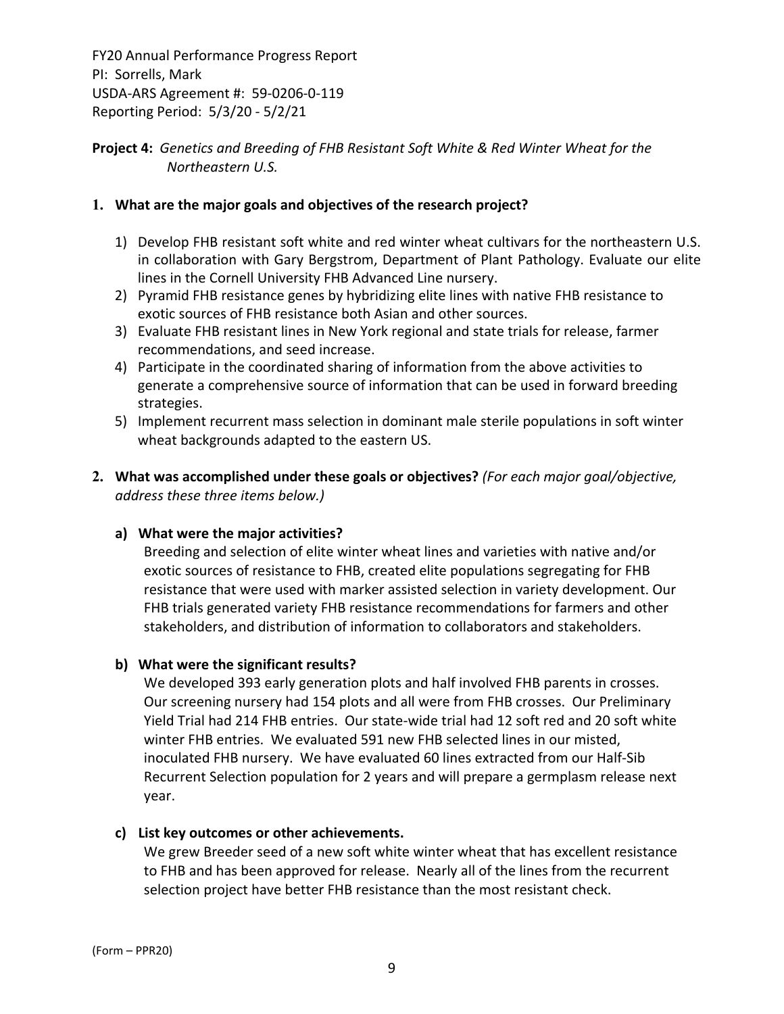### **Project 4:** *Genetics and Breeding of FHB Resistant Soft White & Red Winter Wheat for the Northeastern U.S.*

### **1. What are the major goals and objectives of the research project?**

- 1) Develop FHB resistant soft white and red winter wheat cultivars for the northeastern U.S. in collaboration with Gary Bergstrom, Department of Plant Pathology. Evaluate our elite lines in the Cornell University FHB Advanced Line nursery.
- 2) Pyramid FHB resistance genes by hybridizing elite lines with native FHB resistance to exotic sources of FHB resistance both Asian and other sources.
- 3) Evaluate FHB resistant lines in New York regional and state trials for release, farmer recommendations, and seed increase.
- 4) Participate in the coordinated sharing of information from the above activities to generate a comprehensive source of information that can be used in forward breeding strategies.
- 5) Implement recurrent mass selection in dominant male sterile populations in soft winter wheat backgrounds adapted to the eastern US.
- **2. What was accomplished under these goals or objectives?** *(For each major goal/objective, address these three items below.)*

### **a) What were the major activities?**

Breeding and selection of elite winter wheat lines and varieties with native and/or exotic sources of resistance to FHB, created elite populations segregating for FHB resistance that were used with marker assisted selection in variety development. Our FHB trials generated variety FHB resistance recommendations for farmers and other stakeholders, and distribution of information to collaborators and stakeholders.

### **b) What were the significant results?**

We developed 393 early generation plots and half involved FHB parents in crosses. Our screening nursery had 154 plots and all were from FHB crosses. Our Preliminary Yield Trial had 214 FHB entries. Our state‐wide trial had 12 soft red and 20 soft white winter FHB entries. We evaluated 591 new FHB selected lines in our misted, inoculated FHB nursery. We have evaluated 60 lines extracted from our Half‐Sib Recurrent Selection population for 2 years and will prepare a germplasm release next year.

### **c) List key outcomes or other achievements.**

We grew Breeder seed of a new soft white winter wheat that has excellent resistance to FHB and has been approved for release. Nearly all of the lines from the recurrent selection project have better FHB resistance than the most resistant check.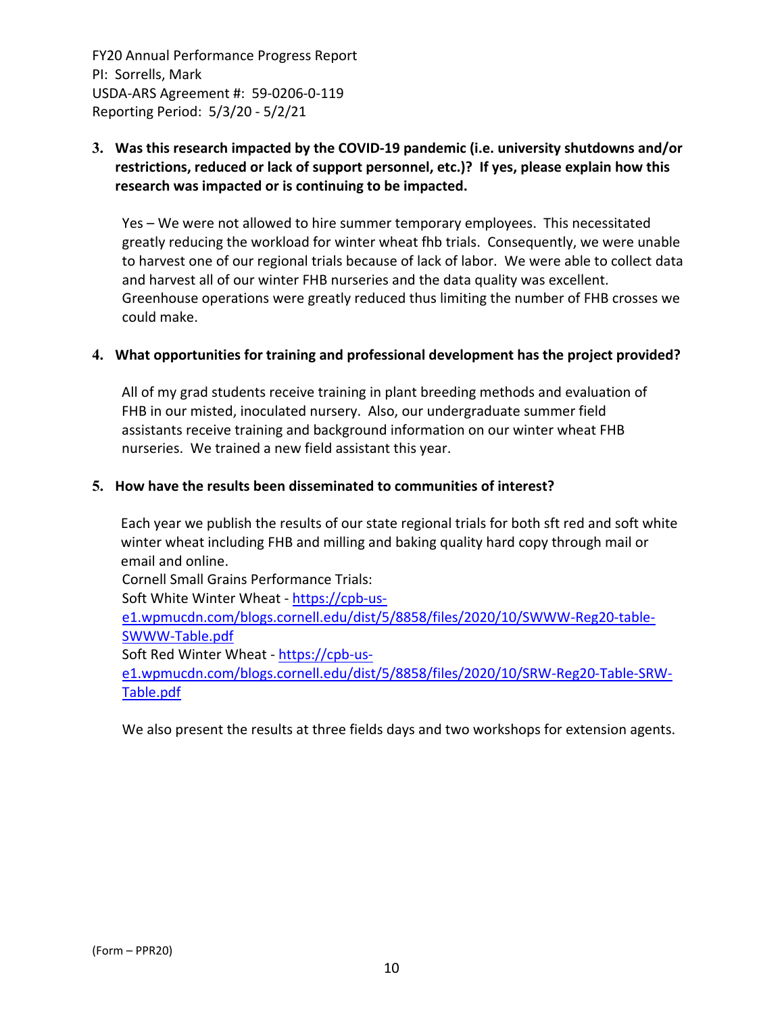### **3. Was this research impacted by the COVID‐19 pandemic (i.e. university shutdowns and/or restrictions, reduced or lack of support personnel, etc.)? If yes, please explain how this research was impacted or is continuing to be impacted.**

Yes – We were not allowed to hire summer temporary employees. This necessitated greatly reducing the workload for winter wheat fhb trials. Consequently, we were unable to harvest one of our regional trials because of lack of labor. We were able to collect data and harvest all of our winter FHB nurseries and the data quality was excellent. Greenhouse operations were greatly reduced thus limiting the number of FHB crosses we could make.

#### **4. What opportunities for training and professional development has the project provided?**

All of my grad students receive training in plant breeding methods and evaluation of FHB in our misted, inoculated nursery. Also, our undergraduate summer field assistants receive training and background information on our winter wheat FHB nurseries. We trained a new field assistant this year.

#### **5. How have the results been disseminated to communities of interest?**

Each year we publish the results of our state regional trials for both sft red and soft white winter wheat including FHB and milling and baking quality hard copy through mail or email and online.

Cornell Small Grains Performance Trials: Soft White Winter Wheat ‐ https://cpb‐us‐ e1.wpmucdn.com/blogs.cornell.edu/dist/5/8858/files/2020/10/SWWW‐Reg20‐table‐ SWWW‐Table.pdf Soft Red Winter Wheat ‐ https://cpb‐us‐ e1.wpmucdn.com/blogs.cornell.edu/dist/5/8858/files/2020/10/SRW‐Reg20‐Table‐SRW‐ Table.pdf

We also present the results at three fields days and two workshops for extension agents.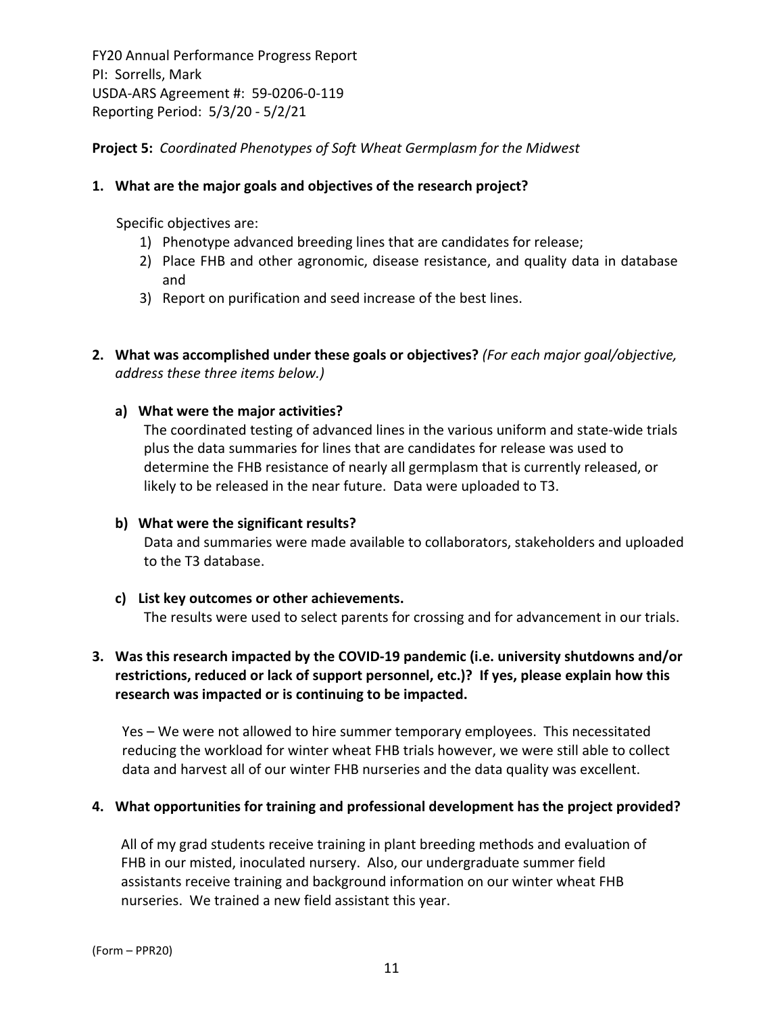**Project 5:** *Coordinated Phenotypes of Soft Wheat Germplasm for the Midwest*

#### **1. What are the major goals and objectives of the research project?**

Specific objectives are:

- 1) Phenotype advanced breeding lines that are candidates for release;
- 2) Place FHB and other agronomic, disease resistance, and quality data in database and
- 3) Report on purification and seed increase of the best lines.
- **2. What was accomplished under these goals or objectives?** *(For each major goal/objective, address these three items below.)*

#### **a) What were the major activities?**

The coordinated testing of advanced lines in the various uniform and state‐wide trials plus the data summaries for lines that are candidates for release was used to determine the FHB resistance of nearly all germplasm that is currently released, or likely to be released in the near future. Data were uploaded to T3.

#### **b) What were the significant results?**

Data and summaries were made available to collaborators, stakeholders and uploaded to the T3 database.

#### **c) List key outcomes or other achievements.**

The results were used to select parents for crossing and for advancement in our trials.

### **3. Was this research impacted by the COVID‐19 pandemic (i.e. university shutdowns and/or restrictions, reduced or lack of support personnel, etc.)? If yes, please explain how this research was impacted or is continuing to be impacted.**

Yes – We were not allowed to hire summer temporary employees. This necessitated reducing the workload for winter wheat FHB trials however, we were still able to collect data and harvest all of our winter FHB nurseries and the data quality was excellent.

#### **4. What opportunities for training and professional development has the project provided?**

All of my grad students receive training in plant breeding methods and evaluation of FHB in our misted, inoculated nursery. Also, our undergraduate summer field assistants receive training and background information on our winter wheat FHB nurseries. We trained a new field assistant this year.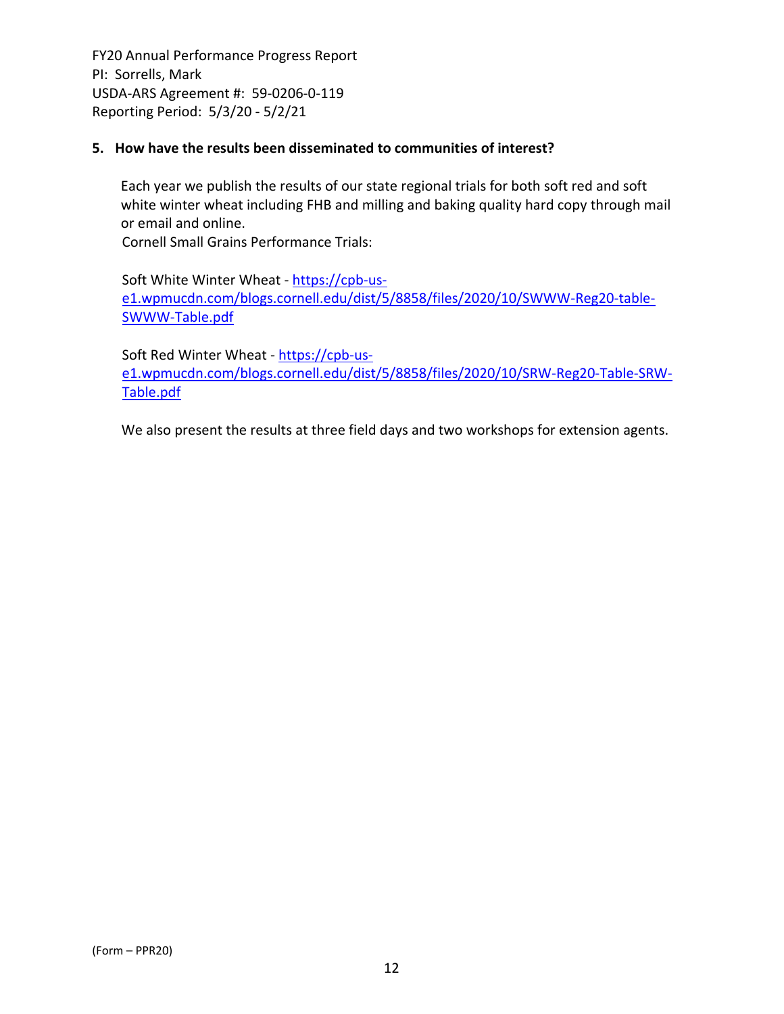#### **5. How have the results been disseminated to communities of interest?**

Each year we publish the results of our state regional trials for both soft red and soft white winter wheat including FHB and milling and baking quality hard copy through mail or email and online.

Cornell Small Grains Performance Trials:

Soft White Winter Wheat ‐ https://cpb‐us‐ e1.wpmucdn.com/blogs.cornell.edu/dist/5/8858/files/2020/10/SWWW‐Reg20‐table‐ SWWW‐Table.pdf

Soft Red Winter Wheat - https://cpb-use1.wpmucdn.com/blogs.cornell.edu/dist/5/8858/files/2020/10/SRW‐Reg20‐Table‐SRW‐ Table.pdf

We also present the results at three field days and two workshops for extension agents.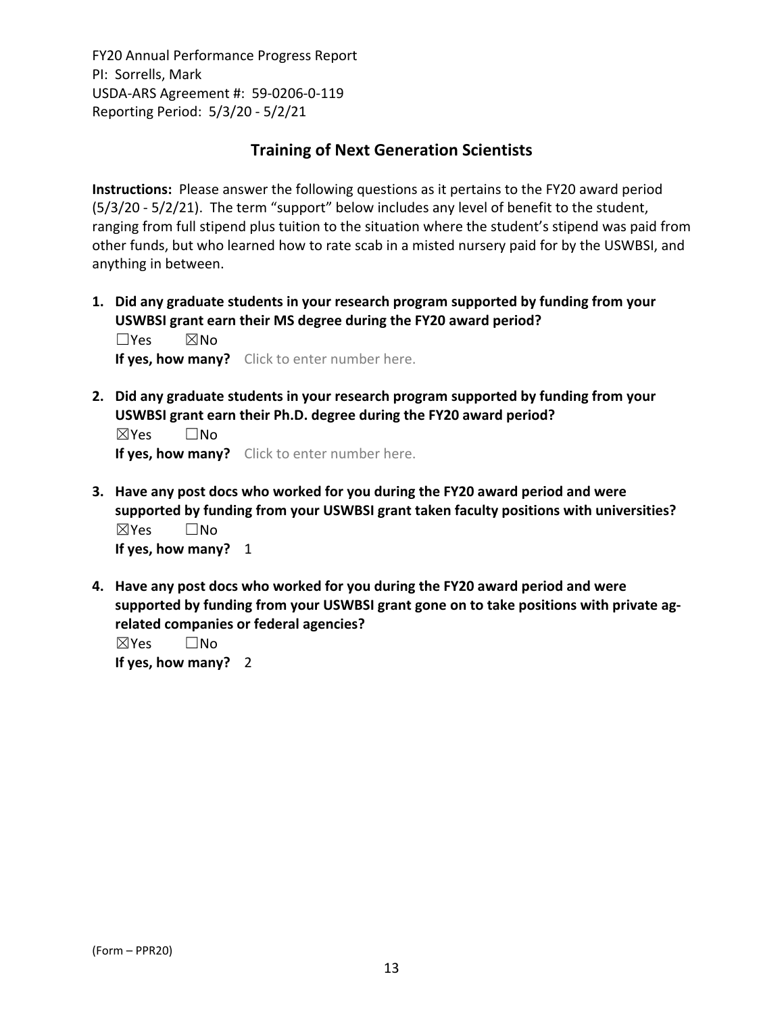## **Training of Next Generation Scientists**

**Instructions:** Please answer the following questions as it pertains to the FY20 award period (5/3/20 ‐ 5/2/21). The term "support" below includes any level of benefit to the student, ranging from full stipend plus tuition to the situation where the student's stipend was paid from other funds, but who learned how to rate scab in a misted nursery paid for by the USWBSI, and anything in between.

**1. Did any graduate students in your research program supported by funding from your USWBSI grant earn their MS degree during the FY20 award period?** ☐Yes ☒No

**If yes, how many?** Click to enter number here.

**2. Did any graduate students in your research program supported by funding from your USWBSI grant earn their Ph.D. degree during the FY20 award period?** ☒Yes ☐No

**If yes, how many?** Click to enter number here.

- **3. Have any post docs who worked for you during the FY20 award period and were supported by funding from your USWBSI grant taken faculty positions with universities?** ☒Yes ☐No **If yes, how many?** 1
- **4. Have any post docs who worked for you during the FY20 award period and were supported by funding from your USWBSI grant gone on to take positions with private ag‐ related companies or federal agencies?**

☒Yes ☐No **If yes, how many?** 2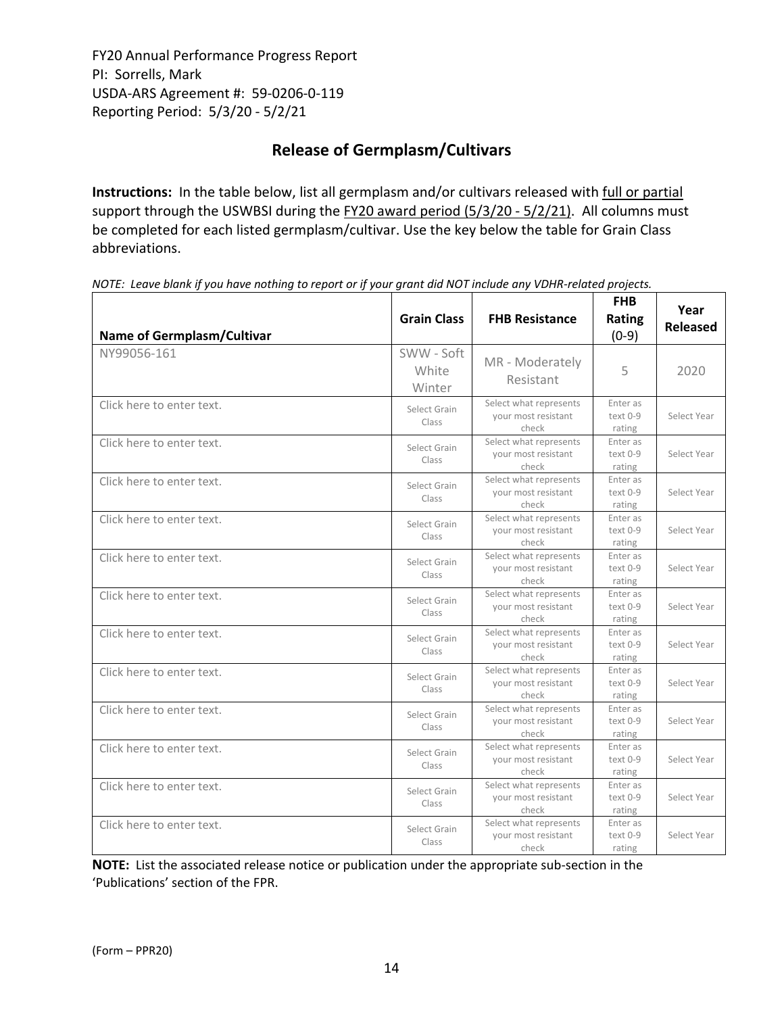# **Release of Germplasm/Cultivars**

**Instructions:** In the table below, list all germplasm and/or cultivars released with full or partial support through the USWBSI during the FY20 award period (5/3/20 - 5/2/21). All columns must be completed for each listed germplasm/cultivar. Use the key below the table for Grain Class abbreviations. 

| <b>Name of Germplasm/Cultivar</b> | <b>Grain Class</b>            | <b>FHB Resistance</b>                                  | <b>FHB</b><br><b>Rating</b><br>$(0-9)$ | Year<br>Released |
|-----------------------------------|-------------------------------|--------------------------------------------------------|----------------------------------------|------------------|
| NY99056-161                       | SWW - Soft<br>White<br>Winter | MR - Moderately<br>Resistant                           | 5                                      | 2020             |
| Click here to enter text.         | Select Grain<br>Class         | Select what represents<br>your most resistant<br>check | Enter as<br>text 0-9<br>rating         | Select Year      |
| Click here to enter text.         | Select Grain<br>Class         | Select what represents<br>your most resistant<br>check | Enter as<br>text 0-9<br>rating         | Select Year      |
| Click here to enter text.         | Select Grain<br>Class         | Select what represents<br>your most resistant<br>check | Enter as<br>text 0-9<br>rating         | Select Year      |
| Click here to enter text.         | Select Grain<br>Class         | Select what represents<br>vour most resistant<br>check | Enter as<br>text 0-9<br>rating         | Select Year      |
| Click here to enter text.         | Select Grain<br>Class         | Select what represents<br>vour most resistant<br>check | Enter as<br>text 0-9<br>rating         | Select Year      |
| Click here to enter text.         | Select Grain<br>Class         | Select what represents<br>your most resistant<br>check | Enter as<br>text 0-9<br>rating         | Select Year      |
| Click here to enter text.         | Select Grain<br>Class         | Select what represents<br>your most resistant<br>check | Enter as<br>text 0-9<br>rating         | Select Year      |
| Click here to enter text.         | Select Grain<br>Class         | Select what represents<br>vour most resistant<br>check | Enter as<br>text 0-9<br>rating         | Select Year      |

Class

Class

Class

Class

Select what represents your most resistant check

Select what represents your most resistant check

Select what represents your most resistant check

Select what represents your most resistant check

Enter as text 0‐9 rating

Enter as text 0‐9 rating

Enter as text 0‐9 rating

Enter as text 0‐9 rating

Select Year

Select Year

Select Year

Select Year

NOTE: Leave blank if you have nothing to report or if your grant did NOT include any VDHR-related projects.

**NOTE:** List the associated release notice or publication under the appropriate sub-section in the 'Publications' section of the FPR.

Click here to enter text. Select Grain

Click here to enter text. Select Grain

Click here to enter text. The select Grain

Click here to enter text. The select Grain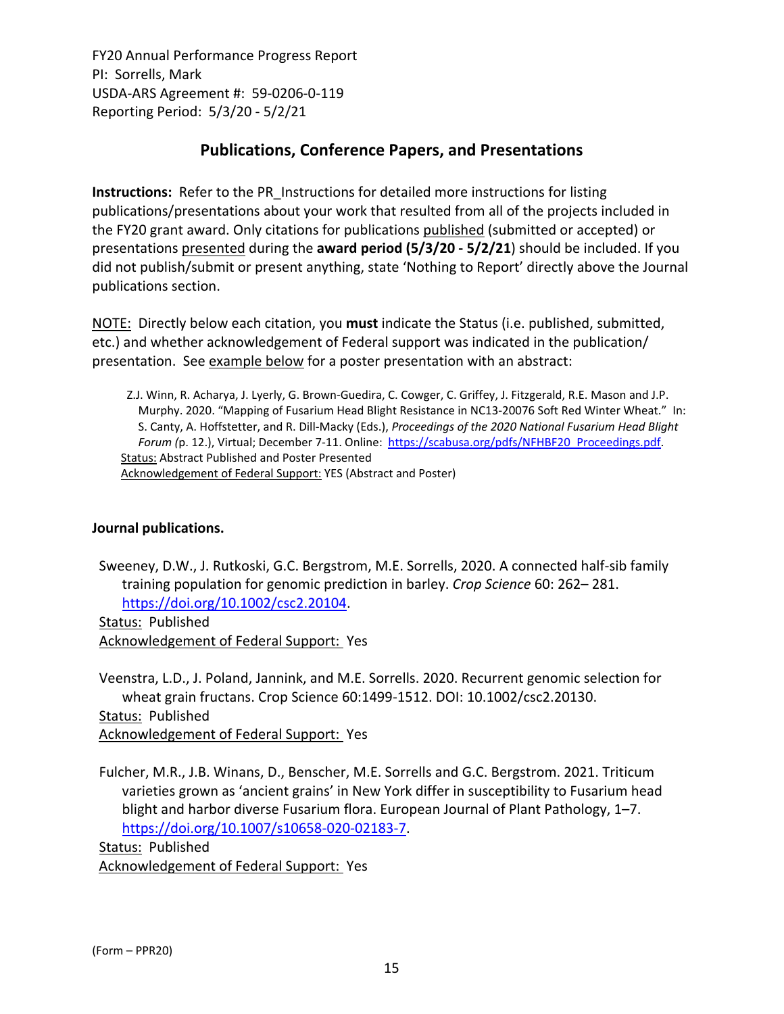# **Publications, Conference Papers, and Presentations**

**Instructions:** Refer to the PR\_Instructions for detailed more instructions for listing publications/presentations about your work that resulted from all of the projects included in the FY20 grant award. Only citations for publications published (submitted or accepted) or presentations presented during the **award period (5/3/20 ‐ 5/2/21**) should be included. If you did not publish/submit or present anything, state 'Nothing to Report' directly above the Journal publications section.

NOTE: Directly below each citation, you **must** indicate the Status (i.e. published, submitted, etc.) and whether acknowledgement of Federal support was indicated in the publication/ presentation. See example below for a poster presentation with an abstract:

Z.J. Winn, R. Acharya, J. Lyerly, G. Brown‐Guedira, C. Cowger, C. Griffey, J. Fitzgerald, R.E. Mason and J.P. Murphy. 2020. "Mapping of Fusarium Head Blight Resistance in NC13‐20076 Soft Red Winter Wheat." In: S. Canty, A. Hoffstetter, and R. Dill‐Macky (Eds.), *Proceedings of the 2020 National Fusarium Head Blight Forum (*p. 12.), Virtual; December 7‐11. Online: https://scabusa.org/pdfs/NFHBF20\_Proceedings.pdf. Status: Abstract Published and Poster Presented Acknowledgement of Federal Support: YES (Abstract and Poster)

### **Journal publications.**

Sweeney, D.W., J. Rutkoski, G.C. Bergstrom, M.E. Sorrells, 2020. A connected half‐sib family training population for genomic prediction in barley. *Crop Science* 60: 262– 281. https://doi.org/10.1002/csc2.20104.

Status: Published Acknowledgement of Federal Support: Yes

Veenstra, L.D., J. Poland, Jannink, and M.E. Sorrells. 2020. Recurrent genomic selection for wheat grain fructans. Crop Science 60:1499‐1512. DOI: 10.1002/csc2.20130. Status: Published Acknowledgement of Federal Support: Yes

Fulcher, M.R., J.B. Winans, D., Benscher, M.E. Sorrells and G.C. Bergstrom. 2021. Triticum varieties grown as 'ancient grains' in New York differ in susceptibility to Fusarium head blight and harbor diverse Fusarium flora. European Journal of Plant Pathology, 1–7. https://doi.org/10.1007/s10658‐020‐02183‐7.

Status: Published Acknowledgement of Federal Support: Yes